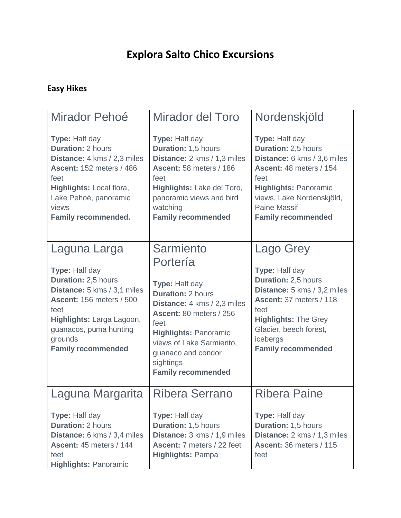# **Explora Salto Chico Excursions**

#### **Easy Hikes**

| Mirador Pehoé                                                                                                                                                                                                                  | <b>Mirador del Toro</b>                                                                                                                                                                                                                                                  | Nordenskjöld                                                                                                                                                                                                                    |
|--------------------------------------------------------------------------------------------------------------------------------------------------------------------------------------------------------------------------------|--------------------------------------------------------------------------------------------------------------------------------------------------------------------------------------------------------------------------------------------------------------------------|---------------------------------------------------------------------------------------------------------------------------------------------------------------------------------------------------------------------------------|
| Type: Half day<br><b>Duration: 2 hours</b><br>Distance: 4 kms / 2,3 miles<br><b>Ascent: 152 meters / 486</b><br>feet<br>Highlights: Local flora,<br>Lake Pehoé, panoramic<br>views<br><b>Family recommended.</b>               | Type: Half day<br>Duration: 1,5 hours<br>Distance: 2 kms / 1,3 miles<br>Ascent: 58 meters / 186<br>feet<br>Highlights: Lake del Toro,<br>panoramic views and bird<br>watching<br><b>Family recommended</b>                                                               | Type: Half day<br><b>Duration: 2,5 hours</b><br>Distance: 6 kms / 3,6 miles<br>Ascent: 48 meters / 154<br>feet<br><b>Highlights: Panoramic</b><br>views, Lake Nordenskjöld,<br><b>Paine Massif</b><br><b>Family recommended</b> |
| Laguna Larga<br>Type: Half day<br>Duration: 2,5 hours<br>Distance: 5 kms / 3,1 miles<br><b>Ascent: 156 meters / 500</b><br>feet<br>Highlights: Larga Lagoon,<br>guanacos, puma hunting<br>grounds<br><b>Family recommended</b> | <b>Sarmiento</b><br>Portería<br>Type: Half day<br><b>Duration: 2 hours</b><br>Distance: 4 kms / 2,3 miles<br>Ascent: 80 meters / 256<br>feet<br><b>Highlights: Panoramic</b><br>views of Lake Sarmiento,<br>guanaco and condor<br>sightings<br><b>Family recommended</b> | Lago Grey<br>Type: Half day<br>Duration: 2,5 hours<br>Distance: 5 kms / 3,2 miles<br>Ascent: 37 meters / 118<br>feet<br><b>Highlights: The Grey</b><br>Glacier, beech forest,<br>icebergs<br><b>Family recommended</b>          |
| Laguna Margarita<br>Type: Half day<br><b>Duration: 2 hours</b><br>Distance: 6 kms / 3,4 miles<br>Ascent: 45 meters / 144<br>feet<br><b>Highlights: Panoramic</b>                                                               | Ribera Serrano<br>Type: Half day<br>Duration: 1,5 hours<br>Distance: 3 kms / 1,9 miles<br>Ascent: 7 meters / 22 feet<br><b>Highlights: Pampa</b>                                                                                                                         | <b>Ribera Paine</b><br>Type: Half day<br><b>Duration: 1,5 hours</b><br>Distance: 2 kms / 1,3 miles<br>Ascent: 36 meters / 115<br>feet                                                                                           |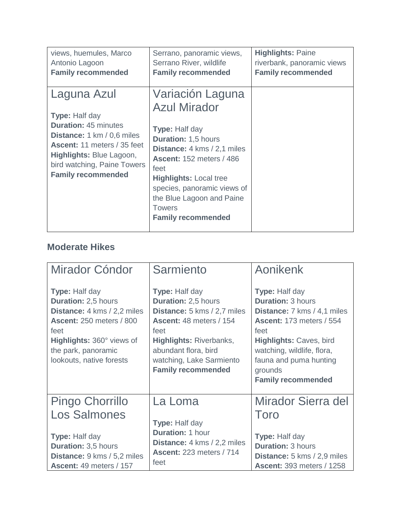| views, huemules, Marco                                                                                                                                                                                                                        | Serrano, panoramic views,                                                                                                                                                                                                                                                                                           | <b>Highlights: Paine</b>   |
|-----------------------------------------------------------------------------------------------------------------------------------------------------------------------------------------------------------------------------------------------|---------------------------------------------------------------------------------------------------------------------------------------------------------------------------------------------------------------------------------------------------------------------------------------------------------------------|----------------------------|
| Antonio Lagoon                                                                                                                                                                                                                                | Serrano River, wildlife                                                                                                                                                                                                                                                                                             | riverbank, panoramic views |
| <b>Family recommended</b>                                                                                                                                                                                                                     | <b>Family recommended</b>                                                                                                                                                                                                                                                                                           | <b>Family recommended</b>  |
| Laguna Azul<br><b>Type: Half day</b><br><b>Duration: 45 minutes</b><br><b>Distance:</b> 1 km / 0,6 miles<br><b>Ascent: 11 meters / 35 feet</b><br><b>Highlights: Blue Lagoon,</b><br>bird watching, Paine Towers<br><b>Family recommended</b> | Variación Laguna<br><b>Azul Mirador</b><br>Type: Half day<br><b>Duration: 1,5 hours</b><br><b>Distance:</b> 4 kms / 2,1 miles<br><b>Ascent: 152 meters / 486</b><br>feet<br><b>Highlights: Local tree</b><br>species, panoramic views of<br>the Blue Lagoon and Paine<br><b>Towers</b><br><b>Family recommended</b> |                            |

### **Moderate Hikes**

| Mirador Cóndor                                                                                                                                                                                                       | Sarmiento                                                                                                                                                                                                                                | Aonikenk                                                                                                                                                                                                                                                      |
|----------------------------------------------------------------------------------------------------------------------------------------------------------------------------------------------------------------------|------------------------------------------------------------------------------------------------------------------------------------------------------------------------------------------------------------------------------------------|---------------------------------------------------------------------------------------------------------------------------------------------------------------------------------------------------------------------------------------------------------------|
| <b>Type: Half day</b><br><b>Duration: 2,5 hours</b><br><b>Distance:</b> 4 kms / 2,2 miles<br><b>Ascent: 250 meters / 800</b><br>feet<br>Highlights: 360° views of<br>the park, panoramic<br>lookouts, native forests | <b>Type: Half day</b><br>Duration: 2,5 hours<br><b>Distance:</b> 5 kms / 2,7 miles<br>Ascent: 48 meters / 154<br>feet<br><b>Highlights: Riverbanks,</b><br>abundant flora, bird<br>watching, Lake Sarmiento<br><b>Family recommended</b> | <b>Type: Half day</b><br><b>Duration: 3 hours</b><br>Distance: 7 kms / 4,1 miles<br><b>Ascent: 173 meters / 554</b><br>feet<br><b>Highlights: Caves, bird</b><br>watching, wildlife, flora,<br>fauna and puma hunting<br>grounds<br><b>Family recommended</b> |
| <b>Pingo Chorrillo</b>                                                                                                                                                                                               | La Loma                                                                                                                                                                                                                                  | Mirador Sierra del                                                                                                                                                                                                                                            |
| <b>Los Salmones</b>                                                                                                                                                                                                  | Type: Half day                                                                                                                                                                                                                           | Toro                                                                                                                                                                                                                                                          |
| <b>Type: Half day</b><br>Duration: 3,5 hours<br>Distance: 9 kms / 5,2 miles<br>Ascent: 49 meters / 157                                                                                                               | <b>Duration: 1 hour</b><br><b>Distance:</b> 4 kms / 2,2 miles<br><b>Ascent: 223 meters / 714</b><br>feet                                                                                                                                 | <b>Type: Half day</b><br><b>Duration: 3 hours</b><br><b>Distance:</b> 5 kms / 2,9 miles<br><b>Ascent: 393 meters / 1258</b>                                                                                                                                   |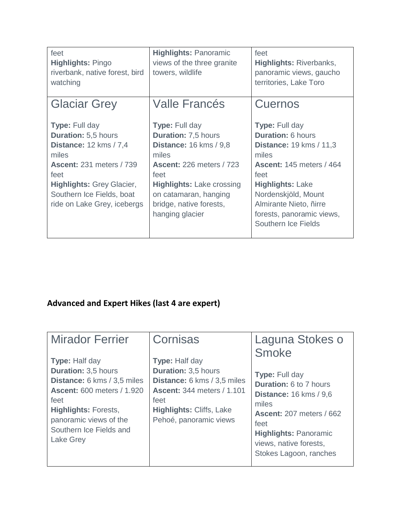| feet<br><b>Highlights: Pingo</b><br>riverbank, native forest, bird<br>watching                                                                                                                                                           | <b>Highlights: Panoramic</b><br>views of the three granite<br>towers, wildlife                                                                                                                                                                      | feet<br><b>Highlights: Riverbanks,</b><br>panoramic views, gaucho<br>territories, Lake Toro                                                                                                                                                                             |
|------------------------------------------------------------------------------------------------------------------------------------------------------------------------------------------------------------------------------------------|-----------------------------------------------------------------------------------------------------------------------------------------------------------------------------------------------------------------------------------------------------|-------------------------------------------------------------------------------------------------------------------------------------------------------------------------------------------------------------------------------------------------------------------------|
| <b>Glaciar Grey</b>                                                                                                                                                                                                                      | <b>Valle Francés</b>                                                                                                                                                                                                                                | Cuernos                                                                                                                                                                                                                                                                 |
| <b>Type: Full day</b><br><b>Duration: 5,5 hours</b><br><b>Distance: 12 kms / 7,4</b><br>miles<br><b>Ascent: 231 meters / 739</b><br>feet<br><b>Highlights: Grey Glacier,</b><br>Southern Ice Fields, boat<br>ride on Lake Grey, icebergs | <b>Type: Full day</b><br><b>Duration: 7,5 hours</b><br><b>Distance: 16 kms / 9.8</b><br>miles<br><b>Ascent: 226 meters / 723</b><br>feet<br><b>Highlights: Lake crossing</b><br>on catamaran, hanging<br>bridge, native forests,<br>hanging glacier | <b>Type: Full day</b><br><b>Duration: 6 hours</b><br><b>Distance: 19 kms / 11,3</b><br>miles<br><b>Ascent: 145 meters / 464</b><br>feet<br><b>Highlights: Lake</b><br>Nordenskjöld, Mount<br>Almirante Nieto, ñirre<br>forests, panoramic views,<br>Southern Ice Fields |

## **Advanced and Expert Hikes (last 4 are expert)**

| <b>Mirador Ferrier</b>                                                                                                                                                                                                                  | Cornisas                                                                                                                                                                                     | Laguna Stokes o                                                                                                                                                                                                                                 |
|-----------------------------------------------------------------------------------------------------------------------------------------------------------------------------------------------------------------------------------------|----------------------------------------------------------------------------------------------------------------------------------------------------------------------------------------------|-------------------------------------------------------------------------------------------------------------------------------------------------------------------------------------------------------------------------------------------------|
| <b>Type: Half day</b><br><b>Duration: 3,5 hours</b><br><b>Distance:</b> 6 kms / 3,5 miles<br><b>Ascent: 600 meters / 1.920</b><br>feet<br><b>Highlights: Forests,</b><br>panoramic views of the<br>Southern Ice Fields and<br>Lake Grey | <b>Type: Half day</b><br><b>Duration: 3,5 hours</b><br>Distance: 6 kms / 3,5 miles<br><b>Ascent: 344 meters / 1.101</b><br>feet<br><b>Highlights: Cliffs, Lake</b><br>Pehoé, panoramic views | <b>Smoke</b><br><b>Type: Full day</b><br><b>Duration: 6 to 7 hours</b><br><b>Distance: 16 kms / 9,6</b><br>miles<br><b>Ascent: 207 meters / 662</b><br>feet<br><b>Highlights: Panoramic</b><br>views, native forests,<br>Stokes Lagoon, ranches |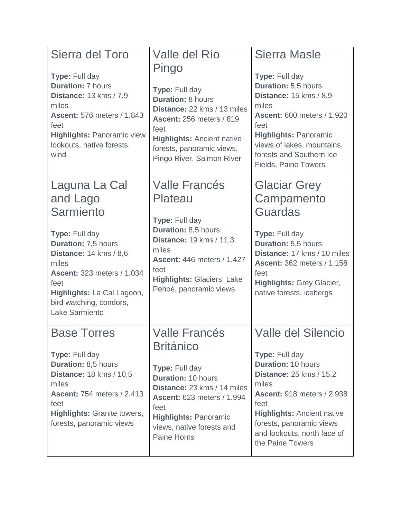| Sierra del Toro<br>Type: Full day<br><b>Duration: 7 hours</b><br><b>Distance: 13 kms / 7,9</b><br>miles<br><b>Ascent: 576 meters / 1.843</b><br>feet<br><b>Highlights: Panoramic view</b><br>lookouts, native forests,<br>wind                    | Valle del Río<br>Pingo<br>Type: Full day<br><b>Duration: 8 hours</b><br>Distance: 22 kms / 13 miles<br><b>Ascent: 256 meters / 819</b><br>feet<br><b>Highlights: Ancient native</b><br>forests, panoramic views,<br>Pingo River, Salmon River   | <b>Sierra Masle</b><br>Type: Full day<br><b>Duration: 5,5 hours</b><br><b>Distance: 15 kms / 8,9</b><br>miles<br><b>Ascent: 600 meters / 1.920</b><br>feet<br><b>Highlights: Panoramic</b><br>views of lakes, mountains,<br>forests and Southern Ice<br><b>Fields, Paine Towers</b>         |
|---------------------------------------------------------------------------------------------------------------------------------------------------------------------------------------------------------------------------------------------------|-------------------------------------------------------------------------------------------------------------------------------------------------------------------------------------------------------------------------------------------------|---------------------------------------------------------------------------------------------------------------------------------------------------------------------------------------------------------------------------------------------------------------------------------------------|
| Laguna La Cal<br>and Lago<br>Sarmiento<br>Type: Full day<br>Duration: 7,5 hours<br><b>Distance: 14 kms / 8,6</b><br>miles<br><b>Ascent: 323 meters / 1.034</b><br>feet<br>Highlights: La Cal Lagoon,<br>bird watching, condors,<br>Lake Sarmiento | <b>Valle Francés</b><br>Plateau<br>Type: Full day<br><b>Duration: 8,5 hours</b><br><b>Distance: 19 kms / 11,3</b><br>miles<br><b>Ascent: 446 meters / 1.427</b><br>feet<br><b>Highlights: Glaciers, Lake</b><br>Pehoé, panoramic views          | <b>Glaciar Grey</b><br>Campamento<br><b>Guardas</b><br>Type: Full day<br>Duration: 5,5 hours<br>Distance: 17 kms / 10 miles<br><b>Ascent: 362 meters / 1.158</b><br>feet<br><b>Highlights: Grey Glacier,</b><br>native forests, icebergs                                                    |
| <b>Base Torres</b><br>Type: Full day<br>Duration: 8,5 hours<br><b>Distance: 18 kms / 10,5</b><br>miles<br><b>Ascent: 754 meters / 2.413</b><br>feet<br><b>Highlights: Granite towers,</b><br>forests, panoramic views                             | <b>Valle Francés</b><br><b>Británico</b><br>Type: Full day<br><b>Duration: 10 hours</b><br>Distance: 23 kms / 14 miles<br><b>Ascent: 623 meters / 1.994</b><br>feet<br><b>Highlights: Panoramic</b><br>views, native forests and<br>Paine Horns | <b>Valle del Silencio</b><br><b>Type: Full day</b><br><b>Duration: 10 hours</b><br><b>Distance: 25 kms / 15,2</b><br>miles<br><b>Ascent: 918 meters / 2.938</b><br>feet<br><b>Highlights: Ancient native</b><br>forests, panoramic views<br>and lookouts, north face of<br>the Paine Towers |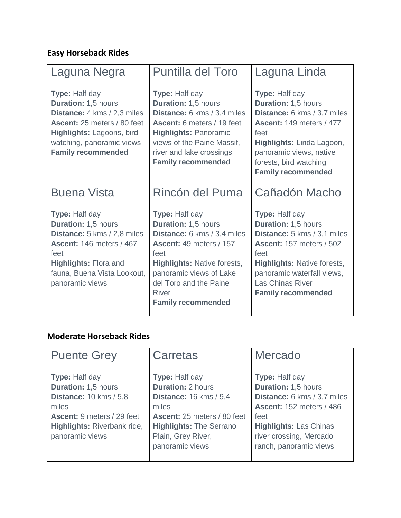#### **Easy Horseback Rides**

| Laguna Negra                                                                                                                                                                                             | <b>Puntilla del Toro</b>                                                                                                                                                                                                                                      | Laguna Linda                                                                                                                                                                                                                         |
|----------------------------------------------------------------------------------------------------------------------------------------------------------------------------------------------------------|---------------------------------------------------------------------------------------------------------------------------------------------------------------------------------------------------------------------------------------------------------------|--------------------------------------------------------------------------------------------------------------------------------------------------------------------------------------------------------------------------------------|
| Type: Half day<br>Duration: 1,5 hours<br><b>Distance:</b> 4 kms / 2,3 miles<br>Ascent: 25 meters / 80 feet<br>Highlights: Lagoons, bird<br>watching, panoramic views<br><b>Family recommended</b>        | Type: Half day<br><b>Duration: 1,5 hours</b><br>Distance: 6 kms / 3,4 miles<br>Ascent: 6 meters / 19 feet<br><b>Highlights: Panoramic</b><br>views of the Paine Massif,<br>river and lake crossings<br><b>Family recommended</b>                              | Type: Half day<br>Duration: 1,5 hours<br>Distance: 6 kms / 3,7 miles<br><b>Ascent: 149 meters / 477</b><br>feet<br>Highlights: Linda Lagoon,<br>panoramic views, native<br>forests, bird watching<br><b>Family recommended</b>       |
| <b>Buena Vista</b>                                                                                                                                                                                       | Rincón del Puma                                                                                                                                                                                                                                               | Cañadón Macho                                                                                                                                                                                                                        |
| <b>Type: Half day</b><br>Duration: 1,5 hours<br>Distance: 5 kms / 2,8 miles<br><b>Ascent: 146 meters / 467</b><br>feet<br><b>Highlights: Flora and</b><br>fauna, Buena Vista Lookout,<br>panoramic views | <b>Type: Half day</b><br><b>Duration: 1,5 hours</b><br>Distance: 6 kms / 3,4 miles<br><b>Ascent: 49 meters / 157</b><br>feet<br><b>Highlights: Native forests,</b><br>panoramic views of Lake<br>del Toro and the Paine<br>River<br><b>Family recommended</b> | Type: Half day<br>Duration: 1,5 hours<br>Distance: 5 kms / 3,1 miles<br><b>Ascent: 157 meters / 502</b><br>feet<br><b>Highlights: Native forests,</b><br>panoramic waterfall views,<br>Las Chinas River<br><b>Family recommended</b> |

#### **Moderate Horseback Rides**

| <b>Puente Grey</b>                | Carretas                       | Mercado                         |
|-----------------------------------|--------------------------------|---------------------------------|
|                                   |                                |                                 |
| <b>Type: Half day</b>             | <b>Type: Half day</b>          | <b>Type: Half day</b>           |
| <b>Duration: 1,5 hours</b>        | <b>Duration: 2 hours</b>       | <b>Duration: 1,5 hours</b>      |
| <b>Distance: 10 kms / 5,8</b>     | <b>Distance: 16 kms / 9,4</b>  | Distance: 6 kms / 3,7 miles     |
| miles                             | miles                          | <b>Ascent: 152 meters / 486</b> |
| <b>Ascent: 9 meters / 29 feet</b> | Ascent: 25 meters / 80 feet    | feet                            |
| Highlights: Riverbank ride,       | <b>Highlights: The Serrano</b> | <b>Highlights: Las Chinas</b>   |
| panoramic views                   | Plain, Grey River,             | river crossing, Mercado         |
|                                   | panoramic views                | ranch, panoramic views          |
|                                   |                                |                                 |